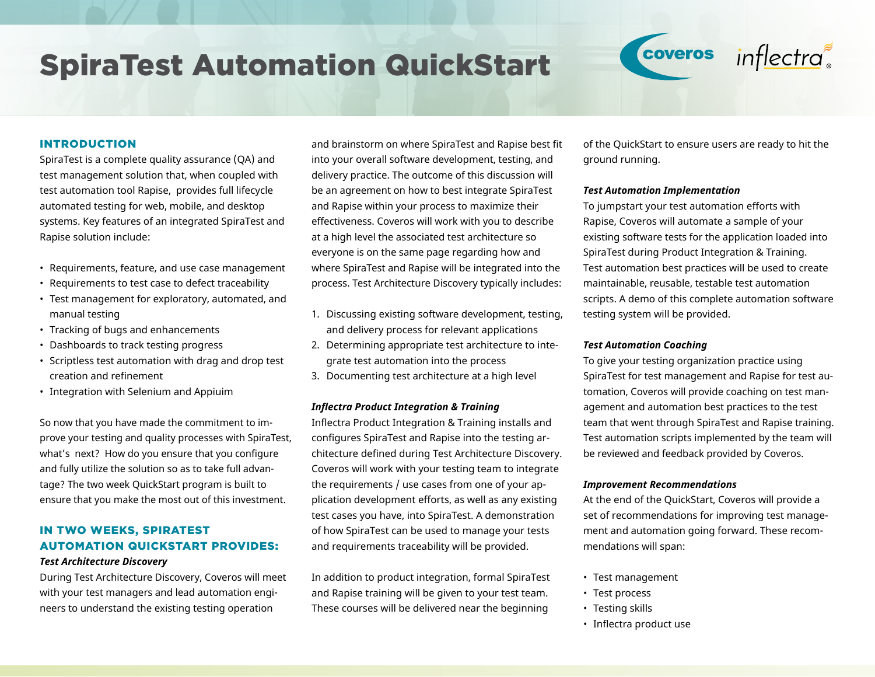# SpiraTest Automation QuickStart





# INTRODUCTION

SpiraTest is a complete quality assurance (QA) and test management solution that, when coupled with test automation tool Rapise, provides full lifecycle automated testing for web, mobile, and desktop systems. Key features of an integrated SpiraTest and Rapise solution include:

- Requirements, feature, and use case management
- Requirements to test case to defect traceability
- Test management for exploratory, automated, and manual testing
- Tracking of bugs and enhancements
- Dashboards to track testing progress
- Scriptless test automation with drag and drop test creation and refinement
- Integration with Selenium and Appiuim

So now that you have made the commitment to improve your testing and quality processes with SpiraTest, what's next? How do you ensure that you configure and fully utilize the solution so as to take full advantage? The two week QuickStart program is built to ensure that you make the most out of this investment.

# IN TWO WEEKS, SPIRATEST AUTOMATION QUICKSTART PROVIDES:

#### *Test Architecture Discovery*

During Test Architecture Discovery, Coveros will meet with your test managers and lead automation engineers to understand the existing testing operation

and brainstorm on where SpiraTest and Rapise best fit into your overall software development, testing, and delivery practice. The outcome of this discussion will be an agreement on how to best integrate SpiraTest and Rapise within your process to maximize their effectiveness. Coveros will work with you to describe at a high level the associated test architecture so everyone is on the same page regarding how and where SpiraTest and Rapise will be integrated into the process. Test Architecture Discovery typically includes:

- 1. Discussing existing software development, testing, and delivery process for relevant applications
- 2. Determining appropriate test architecture to integrate test automation into the process
- 3. Documenting test architecture at a high level

#### *Inflectra Product Integration & Training*

Inflectra Product Integration & Training installs and configures SpiraTest and Rapise into the testing architecture defined during Test Architecture Discovery. Coveros will work with your testing team to integrate the requirements / use cases from one of your application development efforts, as well as any existing test cases you have, into SpiraTest. A demonstration of how SpiraTest can be used to manage your tests and requirements traceability will be provided.

In addition to product integration, formal SpiraTest and Rapise training will be given to your test team. These courses will be delivered near the beginning

of the QuickStart to ensure users are ready to hit the ground running.

#### *Test Automation Implementation*

To jumpstart your test automation efforts with Rapise, Coveros will automate a sample of your existing software tests for the application loaded into SpiraTest during Product Integration & Training. Test automation best practices will be used to create maintainable, reusable, testable test automation scripts. A demo of this complete automation software testing system will be provided.

#### *Test Automation Coaching*

To give your testing organization practice using SpiraTest for test management and Rapise for test automation, Coveros will provide coaching on test management and automation best practices to the test team that went through SpiraTest and Rapise training. Test automation scripts implemented by the team will be reviewed and feedback provided by Coveros.

#### *Improvement Recommendations*

At the end of the QuickStart, Coveros will provide a set of recommendations for improving test management and automation going forward. These recommendations will span:

- Test management
- Test process
- Testing skills
- Inflectra product use